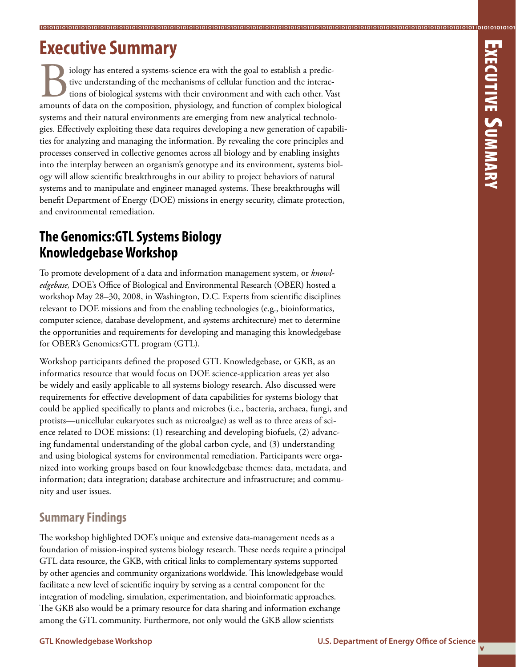# **Executive Summary**

Five understanding of the mechanisms of cellular function and the interactions of biological systems with their environment and with each other. Vast amounts of data on the composition, physiology, and function of complex tive understanding of the mechanisms of cellular function and the interactions of biological systems with their environment and with each other. Vast systems and their natural environments are emerging from new analytical technologies. Effectively exploiting these data requires developing a new generation of capabilities for analyzing and managing the information. By revealing the core principles and processes conserved in collective genomes across all biology and by enabling insights into the interplay between an organism's genotype and its environment, systems biology will allow scientific breakthroughs in our ability to project behaviors of natural systems and to manipulate and engineer managed systems. These breakthroughs will benefit Department of Energy (DOE) missions in energy security, climate protection, and environmental remediation.

**10101010101010101010101010101010101010101010101010101010101010101010101010101010101010101010101010101010101010101010101010101010101010101 10101010101010101010101010101010101010101010101010101010101010101010101010101010101010101010101010101010101010101010101010101010101010101**

# **The Genomics:GTL Systems Biology Knowledgebase Workshop**

To promote development of a data and information management system, or *knowledgebase,* DOE's Office of Biological and Environmental Research (OBER) hosted a workshop May 28–30, 2008, in Washington, D.C. Experts from scientific disciplines relevant to DOE missions and from the enabling technologies (e.g., bioinformatics, computer science, database development, and systems architecture) met to determine the opportunities and requirements for developing and managing this knowledgebase for OBER's Genomics:GTL program (GTL).

Workshop participants defined the proposed GTL Knowledgebase, or GKB, as an informatics resource that would focus on DOE science-application areas yet also be widely and easily applicable to all systems biology research. Also discussed were requirements for effective development of data capabilities for systems biology that could be applied specifically to plants and microbes (i.e., bacteria, archaea, fungi, and protists—unicellular eukaryotes such as microalgae) as well as to three areas of science related to DOE missions: (1) researching and developing biofuels, (2) advancing fundamental understanding of the global carbon cycle, and (3) understanding and using biological systems for environmental remediation. Participants were organized into working groups based on four knowledgebase themes: data, metadata, and information; data integration; database architecture and infrastructure; and community and user issues.

## **Summary Findings**

The workshop highlighted DOE's unique and extensive data-management needs as a foundation of mission-inspired systems biology research. These needs require a principal GTL data resource, the GKB, with critical links to complementary systems supported by other agencies and community organizations worldwide. This knowledgebase would facilitate a new level of scientific inquiry by serving as a central component for the integration of modeling, simulation, experimentation, and bioinformatic approaches. The GKB also would be a primary resource for data sharing and information exchange among the GTL community. Furthermore, not only would the GKB allow scientists

**v**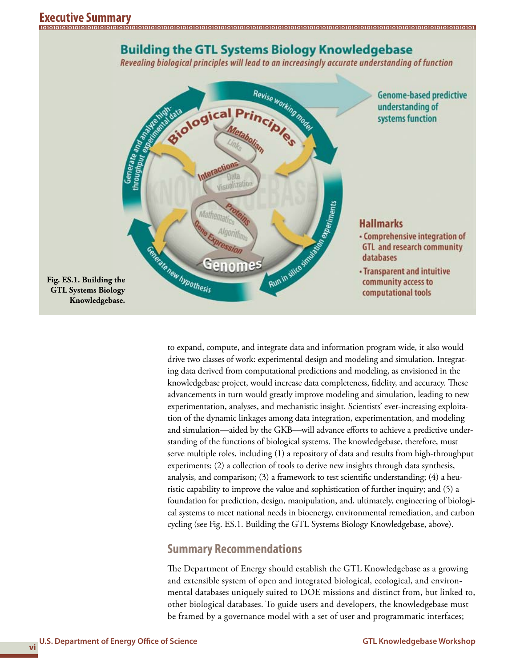

**10101010101010101010101010101010101010101010101010101010101010101010101010101010101010101010101010101010101010101010101010101010101010101**

Revealing biological principles will lead to an increasingly accurate understanding of function



to expand, compute, and integrate data and information program wide, it also would drive two classes of work: experimental design and modeling and simulation. Integrating data derived from computational predictions and modeling, as envisioned in the knowledgebase project, would increase data completeness, fidelity, and accuracy. These advancements in turn would greatly improve modeling and simulation, leading to new experimentation, analyses, and mechanistic insight. Scientists' ever-increasing exploitation of the dynamic linkages among data integration, experimentation, and modeling and simulation—aided by the GKB—will advance efforts to achieve a predictive understanding of the functions of biological systems. The knowledgebase, therefore, must serve multiple roles, including (1) a repository of data and results from high-throughput experiments; (2) a collection of tools to derive new insights through data synthesis, analysis, and comparison; (3) a framework to test scientific understanding; (4) a heuristic capability to improve the value and sophistication of further inquiry; and (5) a foundation for prediction, design, manipulation, and, ultimately, engineering of biological systems to meet national needs in bioenergy, environmental remediation, and carbon cycling (see Fig. ES.1. Building the GTL Systems Biology Knowledgebase, above).

### **Summary Recommendations**

The Department of Energy should establish the GTL Knowledgebase as a growing and extensible system of open and integrated biological, ecological, and environmental databases uniquely suited to DOE missions and distinct from, but linked to, other biological databases. To guide users and developers, the knowledgebase must be framed by a governance model with a set of user and programmatic interfaces;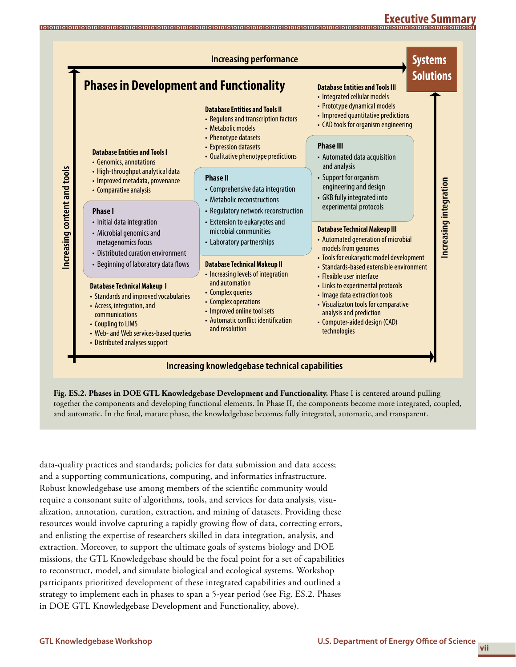#### **Executive Summary 10101010101010101010101010101010101010101010101010101010101010101010101010101010101010101010101010101010101010101010101010101010101010101**



**Fig. ES.2. Phases in DOE GTL Knowledgebase Development and Functionality.** Phase I is centered around pulling together the components and developing functional elements. In Phase II, the components become more integrated, coupled, and automatic. In the final, mature phase, the knowledgebase becomes fully integrated, automatic, and transparent.

data-quality practices and standards; policies for data submission and data access; and a supporting communications, computing, and informatics infrastructure. Robust knowledgebase use among members of the scientific community would require a consonant suite of algorithms, tools, and services for data analysis, visualization, annotation, curation, extraction, and mining of datasets. Providing these resources would involve capturing a rapidly growing flow of data, correcting errors, and enlisting the expertise of researchers skilled in data integration, analysis, and extraction. Moreover, to support the ultimate goals of systems biology and DOE missions, the GTL Knowledgebase should be the focal point for a set of capabilities to reconstruct, model, and simulate biological and ecological systems. Workshop participants prioritized development of these integrated capabilities and outlined a strategy to implement each in phases to span a 5-year period (see Fig. ES.2. Phases in DOE GTL Knowledgebase Development and Functionality, above).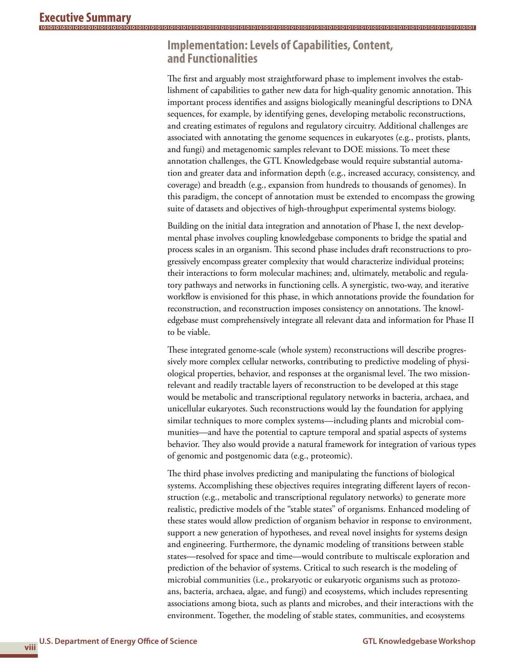# **Implementation: Levels of Capabilities, Content, and Functionalities**

The first and arguably most straightforward phase to implement involves the establishment of capabilities to gather new data for high-quality genomic annotation. This important process identifies and assigns biologically meaningful descriptions to DNA sequences, for example, by identifying genes, developing metabolic reconstructions, and creating estimates of regulons and regulatory circuitry. Additional challenges are associated with annotating the genome sequences in eukaryotes (e.g., protists, plants, and fungi) and metagenomic samples relevant to DOE missions. To meet these annotation challenges, the GTL Knowledgebase would require substantial automation and greater data and information depth (e.g., increased accuracy, consistency, and coverage) and breadth (e.g., expansion from hundreds to thousands of genomes). In this paradigm, the concept of annotation must be extended to encompass the growing suite of datasets and objectives of high-throughput experimental systems biology.

**10101010101010101010101010101010101010101010101010101010101010101010101010101010101010101010101010101010101010101010101010101010101010101**

Building on the initial data integration and annotation of Phase I, the next developmental phase involves coupling knowledgebase components to bridge the spatial and process scales in an organism. This second phase includes draft reconstructions to progressively encompass greater complexity that would characterize individual proteins; their interactions to form molecular machines; and, ultimately, metabolic and regulatory pathways and networks in functioning cells. A synergistic, two-way, and iterative workflow is envisioned for this phase, in which annotations provide the foundation for reconstruction, and reconstruction imposes consistency on annotations. The knowledgebase must comprehensively integrate all relevant data and information for Phase II to be viable.

These integrated genome-scale (whole system) reconstructions will describe progressively more complex cellular networks, contributing to predictive modeling of physiological properties, behavior, and responses at the organismal level. The two missionrelevant and readily tractable layers of reconstruction to be developed at this stage would be metabolic and transcriptional regulatory networks in bacteria, archaea, and unicellular eukaryotes. Such reconstructions would lay the foundation for applying similar techniques to more complex systems—including plants and microbial communities—and have the potential to capture temporal and spatial aspects of systems behavior. They also would provide a natural framework for integration of various types of genomic and postgenomic data (e.g., proteomic).

The third phase involves predicting and manipulating the functions of biological systems. Accomplishing these objectives requires integrating different layers of reconstruction (e.g., metabolic and transcriptional regulatory networks) to generate more realistic, predictive models of the "stable states" of organisms. Enhanced modeling of these states would allow prediction of organism behavior in response to environment, support a new generation of hypotheses, and reveal novel insights for systems design and engineering. Furthermore, the dynamic modeling of transitions between stable states—resolved for space and time—would contribute to multiscale exploration and prediction of the behavior of systems. Critical to such research is the modeling of microbial communities (i.e., prokaryotic or eukaryotic organisms such as protozoans, bacteria, archaea, algae, and fungi) and ecosystems, which includes representing associations among biota, such as plants and microbes, and their interactions with the environment. Together, the modeling of stable states, communities, and ecosystems